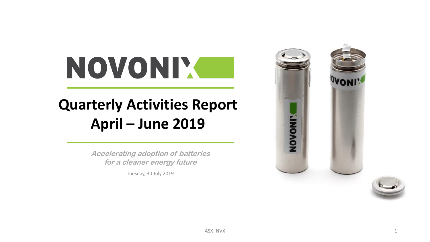# NOVONIX

## **Quarterly Activities Report April – June 2019**

**Accelerating adoption of batteries for a cleaner energy future**

Tuesday, 30 July 2019

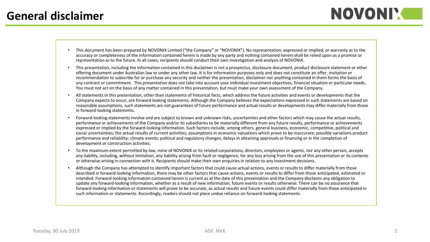- This document has been prepared by NOVONIX Limited ("the Company" or "NOVONIX"). No representation, expressed or implied, or warranty as to the accuracy or completeness of the information contained herein is made by any party and nothing contained herein shall be relied upon as a promise or representation as to the future. In all cases, recipients should conduct their own investigation and analysis of NOVONIX.
- This presentation, including the information contained in this disclaimer is not a prospectus, disclosure document, product disclosure statement or other offering document under Australian law or under any other law. It is for information purposes only and does not constitute an offer, invitation or recommendation to subscribe for or purchase any security and neither the presentation, disclaimer nor anything contained in them forms the basis of any contract or commitment. This presentation does not take into account your individual investment objectives, financial situation or particular needs. You must not act on the basis of any matter contained in this presentation, but must make your own assessment of the Company.
- All statements in this presentation, other than statements of historical facts, which address the future activities and events or developments that the Company expects to occur, are forward looking statements. Although the Company believes the expectations expressed in such statements are based on reasonable assumptions, such statements are not guarantees of future performance and actual results or developments may differ materially from those in forward-looking statements.
- Forward-looking statements involve and are subject to known and unknown risks, uncertainties and other factors which may cause the actual results, performance or achievements of the Company and/or its subsidiaries to be materially different from any future results, performance or achievements expressed or implied by the forward-looking information. Such factors include, among others, general business, economic, competitive, political and social uncertainties; the actual results of current activities; assumptions in economic valuations which prove to be inaccurate; possible variations product performance and reliability; climate events; political and regulatory changes; delays in obtaining approvals or financing or in the completion of development or construction activities.
- To the maximum extent permitted by law, none of NOVONIX or its related corporations, directors, employees or agents, nor any other person, accepts any liability, including, without limitation, any liability arising from fault or negligence, for any loss arising from the use of this presentation or its contents or otherwise arising in connection with it. Recipients should make their own enquiries in relation to any investment decisions.
- Although the Company has attempted to identify important factors that could cause actual actions, events or results to differ materially from those described in forward-looking information, there may be other factors that cause actions, events or results to differ from those anticipated, estimated or intended. Forward-looking information contained herein is current as at the date of this presentation and the Company disclaims any obligation to update any forward-looking information, whether as a result of new information, future events or results otherwise. There can be no assurance that forward-looking information or statements will prove to be accurate, as actual results and future events could differ materially from those anticipated in such information or statements. Accordingly, readers should not place undue reliance on forward-looking statements.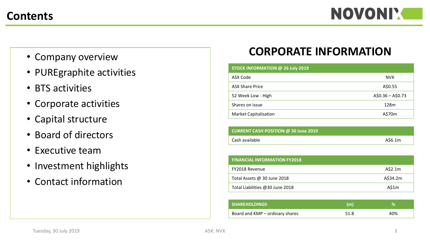- Company overview
- PUREgraphite activities
- BTS activities
- Corporate activities
- Capital structure
- Board of directors
- Executive team
- Investment highlights
- Contact information

## **CORPORATE INFORMATION**

| STOCK INFORMATION @ 26 July 2019 |                   |
|----------------------------------|-------------------|
| ASX Code                         | <b>NVX</b>        |
| <b>ASX Share Price</b>           | A\$0.55           |
| 52 Week Low - High               | $A$0.36 - A$0.73$ |
| Shares on issue                  | 128m              |
| <b>Market Capitalisation</b>     | A\$70m            |

| CURRENT CASH POSITION $\omega$ 30 June 2019 |         |
|---------------------------------------------|---------|
| Cash available                              | A\$6.1m |

| <b>FINANCIAL INFORMATION FY2018</b> |          |
|-------------------------------------|----------|
| FY2018 Revenue                      | A\$2.1m  |
| Total Assets @ 30 June 2018         | A\$34.2m |
| Total Liabilities @30 June 2018     | A\$1m    |

| <b>SHAREHOLDINGS</b>            | (m)  | 70  |
|---------------------------------|------|-----|
| Board and KMP – ordinary shares | 51.8 | 40% |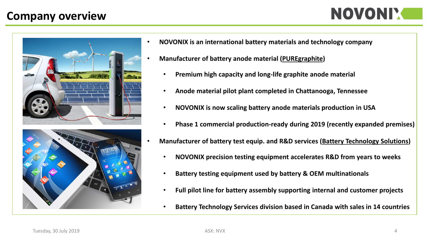## **Company overview**







- **NOVONIX is an international battery materials and technology company**
- **Manufacturer of battery anode material (PUREgraphite)**
	- **Premium high capacity and long-life graphite anode material**
	- **Anode material pilot plant completed in Chattanooga, Tennessee**
	- **NOVONIX is now scaling battery anode materials production in USA**
	- **Phase 1 commercial production-ready during 2019 (recently expanded premises)**
- **Manufacturer of battery test equip. and R&D services (Battery Technology Solutions)**
	- **NOVONIX precision testing equipment accelerates R&D from years to weeks**
	- **Battery testing equipment used by battery & OEM multinationals**
	- **Full pilot line for battery assembly supporting internal and customer projects**
	- **Battery Technology Services division based in Canada with sales in 14 countries**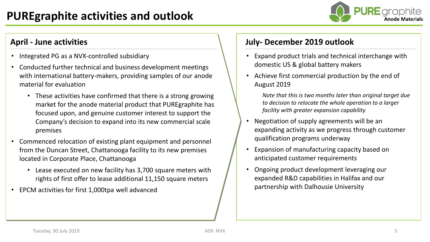

- Integrated PG as a NVX-controlled subsidiary
- Conducted further technical and business development meetings with international battery-makers, providing samples of our anode material for evaluation
	- These activities have confirmed that there is a strong growing market for the anode material product that PUREgraphite has focused upon, and genuine customer interest to support the Company's decision to expand into its new commercial scale premises
- Commenced relocation of existing plant equipment and personnel from the Duncan Street, Chattanooga facility to its new premises located in Corporate Place, Chattanooga
	- Lease executed on new facility has 3,700 square meters with rights of first offer to lease additional 11,150 square meters
- EPCM activities for first 1,000tpa well advanced

### **April - June activities July- December 2019 outlook**

- Expand product trials and technical interchange with domestic US & global battery makers
- Achieve first commercial production by the end of August 2019
	- *Note that this is two months later than original target due to decision to relocate the whole operation to a larger facility with greater expansion capability*
- Negotiation of supply agreements will be an expanding activity as we progress through customer qualification programs underway
- Expansion of manufacturing capacity based on anticipated customer requirements
- Ongoing product development leveraging our expanded R&D capabilities in Halifax and our partnership with Dalhousie University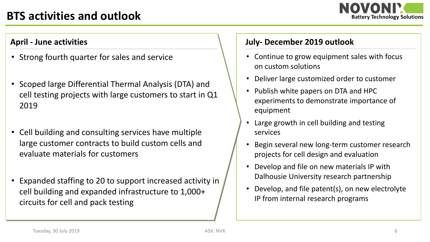## **BTS activities and outlook**



- Strong fourth quarter for sales and service
- Scoped large Differential Thermal Analysis (DTA) and cell testing projects with large customers to start in Q1 2019
- Cell building and consulting services have multiple large customer contracts to build custom cells and evaluate materials for customers
- Expanded staffing to 20 to support increased activity in cell building and expanded infrastructure to 1,000+ circuits for cell and pack testing

### **April - June activities July- December 2019 outlook**

- Continue to grow equipment sales with focus on custom solutions
- Deliver large customized order to customer
- Publish white papers on DTA and HPC experiments to demonstrate importance of equipment
- Large growth in cell building and testing services
- Begin several new long-term customer research projects for cell design and evaluation
- Develop and file on new materials IP with Dalhousie University research partnership
- Develop, and file patent(s), on new electrolyte IP from internal research programs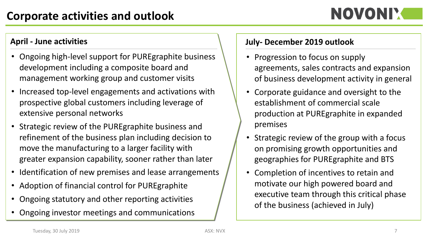- Ongoing high-level support for PUREgraphite business development including a composite board and management working group and customer visits
- Increased top-level engagements and activations with prospective global customers including leverage of extensive personal networks
- Strategic review of the PUREgraphite business and refinement of the business plan including decision to move the manufacturing to a larger facility with greater expansion capability, sooner rather than later
- Identification of new premises and lease arrangements
- Adoption of financial control for PUREgraphite
- Ongoing statutory and other reporting activities
- Ongoing investor meetings and communications

## **April - June activities July- December 2019 outlook**

- Progression to focus on supply agreements, sales contracts and expansion of business development activity in general
- Corporate guidance and oversight to the establishment of commercial scale production at PUREgraphite in expanded premises
- Strategic review of the group with a focus on promising growth opportunities and geographies for PUREgraphite and BTS
- Completion of incentives to retain and motivate our high powered board and executive team through this critical phase of the business (achieved in July)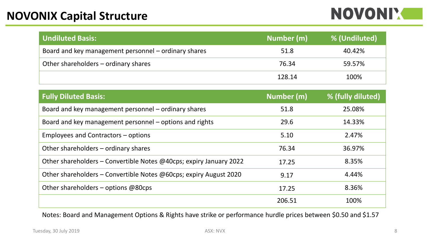## **NOVONIM**

| <b>Undiluted Basis:</b>                              | Number (m) | % (Undiluted) |
|------------------------------------------------------|------------|---------------|
| Board and key management personnel – ordinary shares | 51.8       | 40.42%        |
| Other shareholders – ordinary shares                 | 76.34      | 59.57%        |
|                                                      | 128.14     | 100%          |

| <b>Fully Diluted Basis:</b>                                        | Number (m) | % (fully diluted) |
|--------------------------------------------------------------------|------------|-------------------|
| Board and key management personnel – ordinary shares               | 51.8       | 25.08%            |
| Board and key management personnel – options and rights            | 29.6       | 14.33%            |
| Employees and Contractors – options                                | 5.10       | 2.47%             |
| Other shareholders – ordinary shares                               | 76.34      | 36.97%            |
| Other shareholders – Convertible Notes @40cps; expiry January 2022 | 17.25      | 8.35%             |
| Other shareholders - Convertible Notes @60cps; expiry August 2020  | 9.17       | 4.44%             |
| Other shareholders - options @80cps                                | 17.25      | 8.36%             |
|                                                                    | 206.51     | 100%              |

Notes: Board and Management Options & Rights have strike or performance hurdle prices between \$0.50 and \$1.57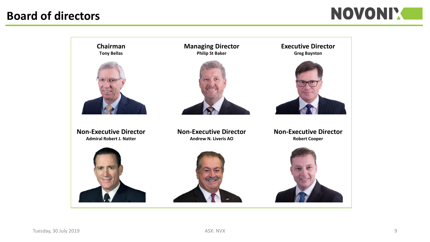## **Board of directors**

## NOVONI'.

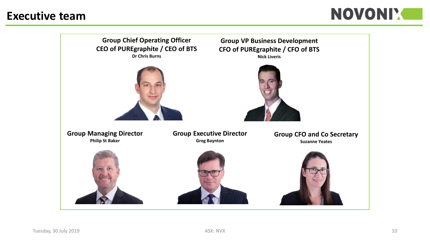## **Executive team**



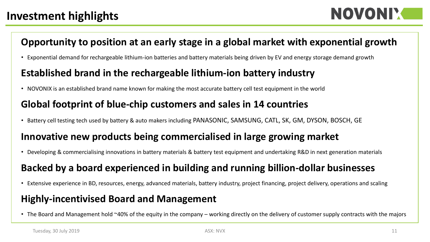NOVONIY

## **Opportunity to position at an early stage in a global market with exponential growth**

• Exponential demand for rechargeable lithium-ion batteries and battery materials being driven by EV and energy storage demand growth

## **Established brand in the rechargeable lithium-ion battery industry**

• NOVONIX is an established brand name known for making the most accurate battery cell test equipment in the world

## **Global footprint of blue-chip customers and sales in 14 countries**

• Battery cell testing tech used by battery & auto makers including PANASONIC, SAMSUNG, CATL, SK, GM, DYSON, BOSCH, GE

## **Innovative new products being commercialised in large growing market**

• Developing & commercialising innovations in battery materials & battery test equipment and undertaking R&D in next generation materials

## **Backed by a board experienced in building and running billion-dollar businesses**

• Extensive experience in BD, resources, energy, advanced materials, battery industry, project financing, project delivery, operations and scaling

## **Highly-incentivised Board and Management**

• The Board and Management hold ~40% of the equity in the company – working directly on the delivery of customer supply contracts with the majors